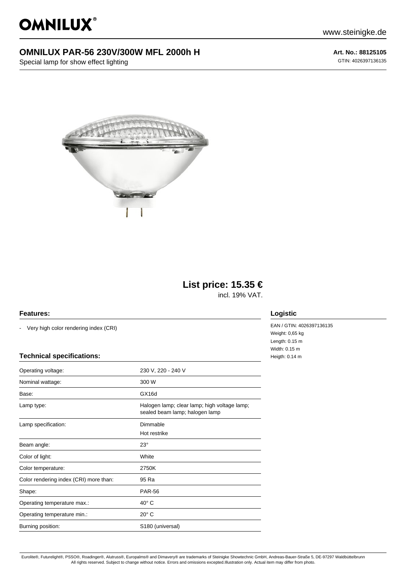OMNILUX®

## **OMNILUX PAR-56 230V/300W MFL 2000h H**

Special lamp for show effect lighting

www.steinigke.de

**Art. No.: 88125105** GTIN: 4026397136135



# **List price: 15.35 €**

incl. 19% VAT.

#### **Features:**

- Very high color rendering index (CRI)

#### **Technical specifications:**

| Operating voltage:                     | 230 V, 220 - 240 V                                                             |
|----------------------------------------|--------------------------------------------------------------------------------|
| Nominal wattage:                       | 300 W                                                                          |
| Base:                                  | GX16d                                                                          |
| Lamp type:                             | Halogen lamp; clear lamp; high voltage lamp;<br>sealed beam lamp; halogen lamp |
| Lamp specification:                    | Dimmable                                                                       |
|                                        | Hot restrike                                                                   |
| Beam angle:                            | $23^\circ$                                                                     |
| Color of light:                        | White                                                                          |
| Color temperature:                     | 2750K                                                                          |
| Color rendering index (CRI) more than: | 95 Ra                                                                          |
| Shape:                                 | <b>PAR-56</b>                                                                  |
| Operating temperature max.:            | $40^{\circ}$ C                                                                 |
| Operating temperature min.:            | $20^\circ$ C                                                                   |
| Burning position:                      | S180 (universal)                                                               |
|                                        |                                                                                |

### **Logistic**

EAN / GTIN: 4026397136135 Weight: 0,65 kg Length: 0.15 m Width: 0.15 m Heigth: 0.14 m

Eurolite®, Futurelight®, PSSO®, Roadinger®, Alutruss®, Europalms® and Dimavery® are trademarks of Steinigke Showtechnic GmbH, Andreas-Bauer-Straße 5, DE-97297 Waldbüttelbrunn All rights reserved. Subject to change without notice. Errors and omissions excepted.Illustration only. Actual item may differ from photo.